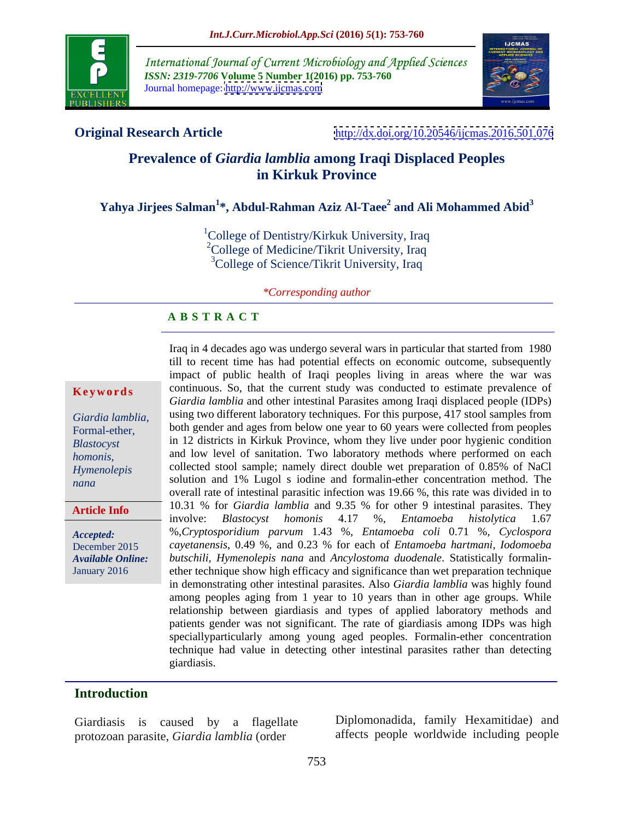

International Journal of Current Microbiology and Applied Sciences *ISSN: 2319-7706* **Volume 5 Number 1(2016) pp. 753-760** Journal homepage: <http://www.ijcmas.com>



**Original Research Article** <http://dx.doi.org/10.20546/ijcmas.2016.501.076>

# **Prevalence of** *Giardia lamblia* **among Iraqi Displaced Peoples in Kirkuk Province**

## **Yahya Jirjees Salman<sup>1</sup> \*, Abdul-Rahman Aziz Al-Taee<sup>2</sup> and Ali Mohammed Abid<sup>3</sup>**

<sup>1</sup>College of Dentistry/Kirkuk University, Iraq <sup>2</sup>College of Medicine/Tikrit University, Iraq <sup>3</sup>College of Science/Tikrit University, Iraq

*\*Corresponding author*

### **A B S T R A C T**

**Article Info**

Iraq in 4 decades ago was undergo several wars in particular that started from 1980 till to recent time has had potential effects on economic outcome, subsequently impact of public health of Iraqi peoples living in areas where the war was **Keywords** continuous. So, that the current study was conducted to estimate prevalence of *Giardia lamblia* and other intestinal Parasites among Iraqi displaced people (IDPs) Giardia lamblia, using two different laboratory techniques. For this purpose, 417 stool samples from Formal-ether, both gender and ages from below one year to 60 years were collected from peoples in 12 districts in Kirkuk Province, whom they live under poor hygienic condition *Blastocyst*  and low level of sanitation. Two laboratory methods where performed on each *homonis,*  collected stool sample; namely direct double wet preparation of 0.85% of NaCl *Hymenolepis* solution and 1% Lugol s iodine and formalin-ether concentration method. The *nana* overall rate of intestinal parasitic infection was 19.66 %, this rate was divided in to 10.31 % for *Giardia lamblia* and 9.35 % for other 9 intestinal parasites. They involve: *Blastocyst homonis* 4.17 %, *Entamoeba histolytica* 1.67 %,*Cryptosporidium parvum* 1.43 %, *Entamoeba coli* 0.71 %, *Cyclospora Accepted: cayetanensis*, 0.49 %, and 0.23 % for each of *Entamoeba hartmani, Iodomoeba* December 2015 *butschili, Hymenolepis nana* and *Ancylostoma duodenale*. Statistically formalin- Available Online: butschili, Hymenolepis nana and Ancylostoma duodenale. Statistically formalin-<br>January 2016 enter technique show high efficacy and significance than wet preparation technique in demonstrating other intestinal parasites. Also *Giardia lamblia* was highly found among peoples aging from 1 year to 10 years than in other age groups. While relationship between giardiasis and types of applied laboratory methods and patients gender was not significant. The rate of giardiasis among IDPs was high speciallyparticularly among young aged peoples. Formalin-ether concentration technique had value in detecting other intestinal parasites rather than detecting giardiasis.

### **Introduction**

protozoan parasite, *Giardia lamblia* (order

Giardiasis is caused by a flagellate Diplomonadida, family Hexamitidae) and affects people worldwide including people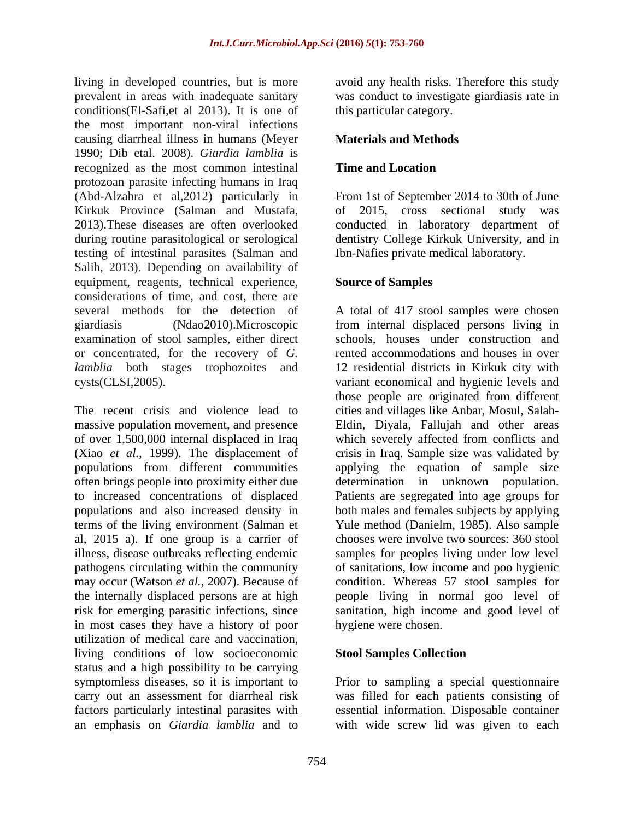living in developed countries, but is more avoid any health risks. Therefore this study prevalent in areas with inadequate sanitary was conduct to investigate giardiasis rate in conditions(El-Safi,et al 2013). It is one of the most important non-viral infections causing diarrheal illness in humans (Meyer 1990; Dib etal. 2008). *Giardia lamblia* is recognized as the most common intestinal protozoan parasite infecting humans in Iraq (Abd-Alzahra et al,2012) particularly in From 1st of September 2014 to 30th of June Kirkuk Province (Salman and Mustafa, of 2015, cross sectional study was 2013).These diseases are often overlooked conducted in laboratory department of during routine parasitological or serological dentistry College Kirkuk University, and in testing of intestinal parasites (Salman and Salih, 2013). Depending on availability of equipment, reagents, technical experience, Source of Samples considerations of time, and cost, there are or concentrated, for the recovery of *G.* 

(Xiao *et al.,* 1999). The displacement of often brings people into proximity either due al, 2015 a). If one group is a carrier of pathogens circulating within the community in most cases they have a history of poor utilization of medical care and vaccination, living conditions of low socioeconomic status and a high possibility to be carrying symptomless diseases, so it is important to carry out an assessment for diarrheal risk was filled for each patients consisting of factors particularly intestinal parasites with essential information. Disposable container an emphasis on *Giardia lamblia* and to with wide screw lid was given to each

this particular category.

## **Materials and Methods**

## **Time and Location**

Ibn-Nafies private medical laboratory.

### **Source of Samples**

several methods for the detection of A total of 417 stool samples were chosen giardiasis (Ndao2010).Microscopic from internal displaced persons living in examination of stool samples, either direct schools, houses under construction and *lamblia* both stages trophozoites and 12 residential districts in Kirkuk city with cysts(CLSI,2005). variant economical and hygienic levels and The recent crisis and violence lead to cities and villages like Anbar, Mosul, Salah massive population movement, and presence Eldin, Diyala, Fallujah and other areas of over 1,500,000 internal displaced in Iraq which severely affected from conflicts and populations from different communities applying the equation of sample size to increased concentrations of displaced Patients are segregated into age groups for populations and also increased density in both males and females subjects by applying terms of the living environment (Salman et Yule method (Danielm, 1985). Also sample illness, disease outbreaks reflecting endemic samples for peoples living under low level may occur (Watson *et al.,* 2007). Because of condition. Whereas 57 stool samples for the internally displaced persons are at high people living in normal goo level of risk for emerging parasitic infections, since sanitation, high income and good level of rented accommodations and houses in over those people are originated from different crisis in Iraq. Sample size was validated by determination in unknown population. chooses were involve two sources: 360 stool of sanitations, low income and poo hygienic hygiene were chosen.

### **Stool Samples Collection**

Prior to sampling a special questionnaire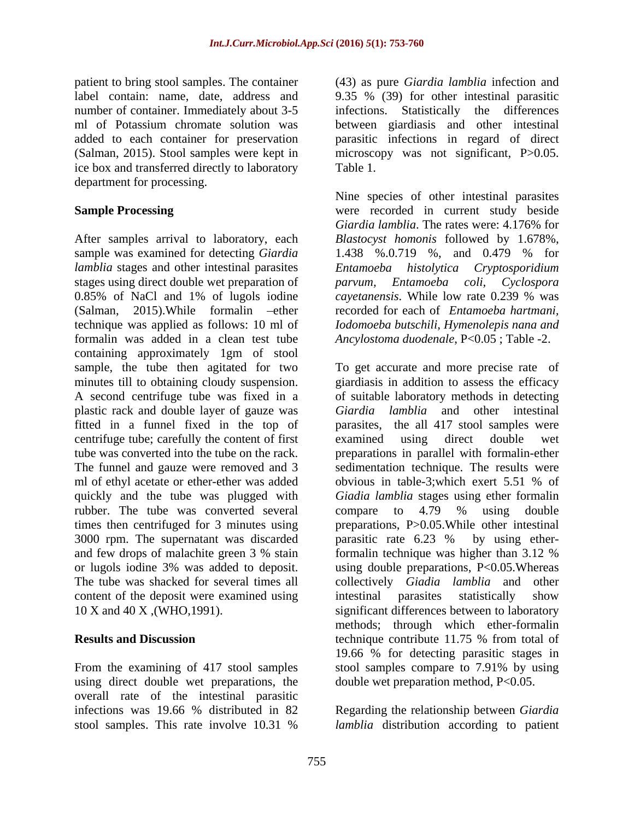ice box and transferred directly to laboratory department for processing.

After samples arrival to laboratory, each *Blastocyst homonis* followed by 1.678%, sample was examined for detecting *Giardia* 1.438 %.0.719 %, and 0.479 % for *lamblia* stages and other intestinal parasites *Entamoeba histolytica Cryptosporidium* stages using direct double wet preparation of parvum, Entamoeba coli, Cyclospora 0.85% of NaCl and 1% of lugols iodine *cayetanensis*. While low rate 0.239 % was (Salman, 2015). While formal in ether recorded for each of *Entamoeba hartmani*. technique was applied as follows: 10 ml of *Iodomoeba butschili*, *Hymenolepis nana and* formalin was added in a clean test tube containing approximately 1gm of stool plastic rack and double layer of gauzewas fitted in a funnel fixed in the top of centrifuge tube; carefully the content of first ml of ethyl acetate or ether-ether was added obvious in table-3; which exert 5.51 % of rubber. The tube was converted several compare to 4.79 % using double times then centrifuged for 3 minutes using 3000 rpm. The supernatant was discarded parasitic rate 6.23 % by using ethercontent of the deposit were examined using intestinal parasites statistically show

From the examining of 417 stool samples stool samples compare to 7.91% by using using direct double wet preparations, the overall rate of the intestinal parasitic infections was 19.66 % distributed in 82 Regarding the relationship between *Giardia* 

patient to bring stool samples. The container (43) as pure *Giardia lamblia* infection and label contain: name, date, address and 9.35 % (39) for other intestinal parasitic number of container. Immediately about 3-5 infections. Statistically the differences ml of Potassium chromate solution was between giardiasis and other intestinal added to each container for preservation parasitic infections in regard of direct (Salman, 2015). Stool samples were kept in microscopy was not significant, P>0.05. Table 1.

**Sample Processing** were recorded in current study beside Nine species of other intestinal parasites *Giardia lamblia*. The rates were: 4.176% for 1.438 %.0.719 %, and 0.479 % for *Entamoeba histolytica Cryptosporidium parvum, Entamoeba coli, cayetanensis*. While low rate 0.239 % was recorded for each of *Entamoeba hartmani, Iodomoeba butschili, Hymenolepis nana and Ancylostoma duodenale*, P<0.05 ; Table -2.

sample, the tube then agitated for two To get accurate and more precise rate of minutes till to obtaining cloudy suspension. giardiasis in addition to assess the efficacy A second centrifuge tube was fixed in a of suitable laboratory methods in detecting tube was converted into the tube on the rack. preparations in parallel with formalin-ether The funnel and gauze were removed and 3 sedimentation technique. The results were quickly and the tube was plugged with *Giadia lamblia* stages using ether formalin and few drops of malachite green 3 % stain formalin technique was higher than 3.12 % or lugols iodine 3% was added to deposit. using double preparations, P<0.05.Whereas The tube was shacked for several times all collectively *Giadia lamblia* and other 10 X and 40 X ,(WHO,1991). significant differences between to laboratory **Results and Discussion Results and Discussion Results and Discussion Results and Discussion** *Giardia lamblia* and other intestinal parasites, the all 417 stool samples were examined using direct double wet obvious in table-3;which exert 5.51 % of compare to 4.79 % using double preparations, P>0.05.While other intestinal parasitic rate 6.23 % by using etherformalin technique was higher than 3.12 % intestinal parasites statistically show methods; through which ether-formalin technique contribute 11.75 % from total of 19.66 % for detecting parasitic stages in stool samples compare to 7.91% by using double wet preparation method, P<0.05.

stool samples. This rate involve 10.31 % *lamblia* distribution according to patient Regarding the relationship between *Giardia lamblia* distribution according to patient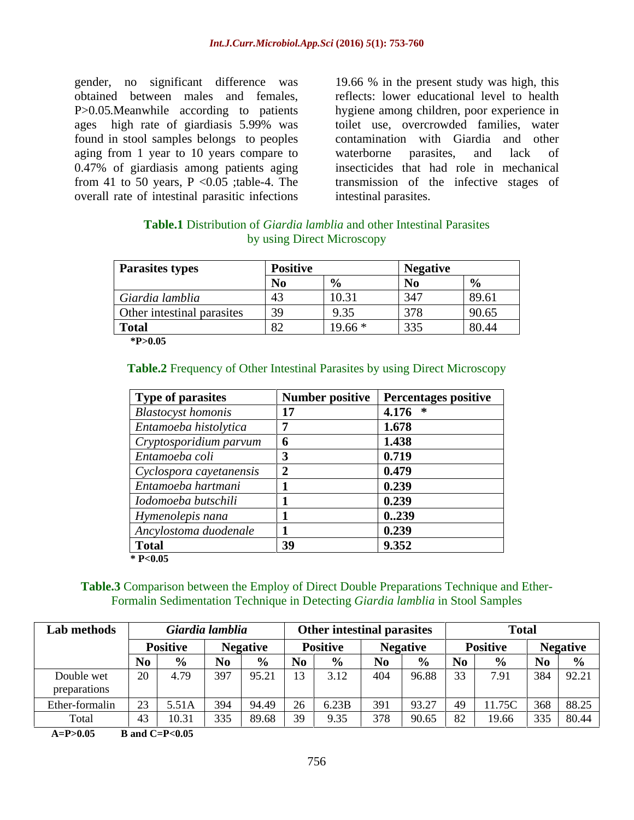found in stool samples belongs to peoples aging from 1 year to 10 years compare to waterborne parasites, and lack of 0.47% of giardiasis among patients aging overall rate of intestinal parasitic infections

gender, no significant difference was 19.66 % in the present study was high, this obtained between males and females, reflects: lower educational level to health<br>P>0.05.Meanwhile according to patients hygiene among children, poor experience in ages high rate of giardiasis 5.99% was from 41 to 50 years, P <0.05 ;table-4. The transmission of the infective stages of reflects: lower educational level to health hygiene among children, poor experience in toilet use, overcrowded families, water contamination with Giardia and other waterborne parasites, and lack of insecticides that had role in mechanical intestinal parasites.

## **Table.1** Distribution of *Giardia lamblia* and other Intestinal Parasites by using Direct Microscopy

| <b>Parasites types</b>     |          |  |        |
|----------------------------|----------|--|--------|
|                            |          |  |        |
| Giardia lamblia            | 10.21    |  | -89.61 |
| Other intestinal parasites |          |  |        |
|                            | $19.66*$ |  | 80.44  |
| $*P>0.05$                  |          |  |        |

### **Table.2** Frequency of Other Intestinal Parasites by using Direct Microscopy

| Type of parasites         |     | Number positive   Percentages positive |
|---------------------------|-----|----------------------------------------|
| <b>Blastocyst homonis</b> |     | 4.176 $*$                              |
| Entamoeba histolytica     |     | 1.678                                  |
| Cryptosporidium parvum    |     | 1.438                                  |
| Entamoeba coli            |     | 0.719                                  |
| Cyclospora cayetanensis   |     | 0.479                                  |
| Entamoeba hartmani        |     | 0.239                                  |
| Iodomoeba butschili       |     | 0.239                                  |
| Hymenolepis nana          |     | 0.239                                  |
| Ancylostoma duodenale     |     | 0.239                                  |
| <b>Total</b>              | ्रु | 9.352                                  |
| * $P<0.05$                |     |                                        |

### **Table.3** Comparison between the Employ of Direct Double Preparations Technique and Ether- Formalin Sedimentation Technique in Detecting *Giardia lamblia* in Stool Samples

| Lab method    | ardia lambli <mark></mark>    | Other intestinal parasites                                                           |                                               |  |
|---------------|-------------------------------|--------------------------------------------------------------------------------------|-----------------------------------------------|--|
|               | <b>Positive</b>               | <b>Negative</b>                                                                      | <b>Positive</b><br>Negative                   |  |
|               |                               | $\frac{1}{2}$ $\frac{1}{2}$ No.1                                                     | $\overline{\phantom{a}}$                      |  |
| Double wet    | 1397<br>$\vert$ 95.21<br>4.79 | $\begin{array}{ c c c c c c c c } \hline 3.12 & 404 & 96.88 & 33 \hline \end{array}$ | 7.91   384   92.21                            |  |
| preparations  |                               |                                                                                      |                                               |  |
| Ether-formali |                               |                                                                                      |                                               |  |
| Total         | <u>89.68</u><br>$10.31$ 335   | - 39 -                                                                               | 9.35   378   90.65   82   19.66   335   80.44 |  |

**A=P>0.05 B and C=P<0.05**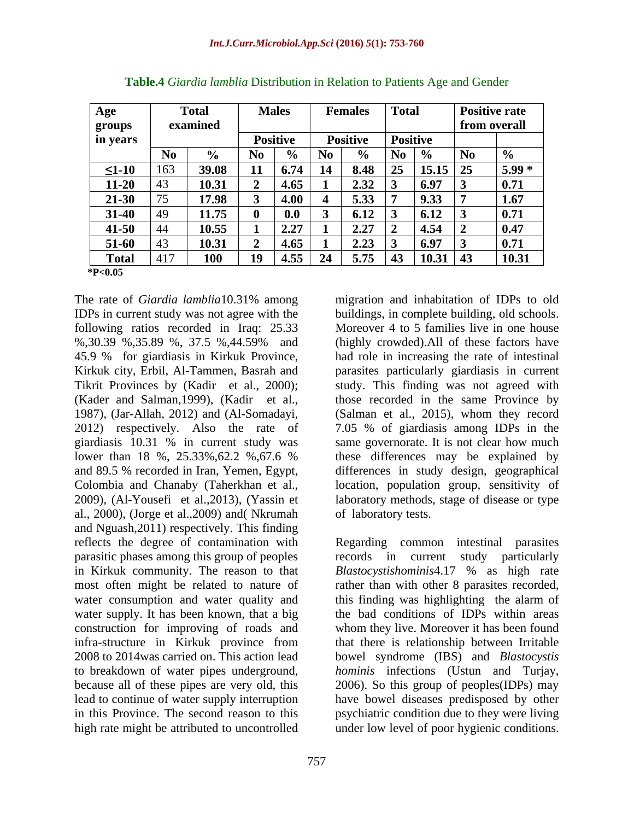| $\mathbf{A}$ ge |     | Total    | <b>Males</b> | Femal                                                                               |                          | <b>Positive rate</b>        |
|-----------------|-----|----------|--------------|-------------------------------------------------------------------------------------|--------------------------|-----------------------------|
| groups          |     | examined |              |                                                                                     |                          | from overall                |
| in years        |     |          | Positive     | <b>Positiv</b>                                                                      | Positive                 |                             |
|                 |     |          |              | l No                                                                                |                          |                             |
| $\leq$ 1-10     |     | 39.08    |              | $\overline{.4}$ $\overline{6.74}$ $\overline{14}$ $\overline{8.48}$ $\overline{25}$ | $\vert$ 15.15            | $15.99^{\circ}$             |
| $11-20$         |     | 10.31    | 4.65         | 2.32                                                                                | $\overline{6.97}$        | 0.71                        |
| $21 - 30$       |     | 17.98    | 4.00         | 5.33<br>$\overline{\phantom{a}}$                                                    | 9.33                     |                             |
| $31-40$         |     | 11.75    | $\bf 0.0$    | 6.12                                                                                | 6.12                     | $\mathbf{A}$ 71             |
| $41 - 50$       |     | 10.55    | 2.27         | 2.27                                                                                | $\overline{4.54}$        | $\triangle$ $\triangle$     |
| 51-60           |     | 10.31    | 4.65         | 2.23                                                                                | 6.97                     | $\mathbf{A}$ $\mathbf{F}$ 1 |
| <b>Total</b>    | 417 | 100      | 10<br> 4.55  | $\overline{5.75}$<br>$2\Delta$                                                      | 10.31<br>$\overline{43}$ | $\frac{1}{10}$ 31           |
| $*P<0.05$       |     |          |              |                                                                                     |                          |                             |

| Table.<br>∽.<br>. Doti<br><i>a D</i> istribution in Relation to .<br>$\sim$ Lendor<br>dia lamblia<br>$\sim$ + Giardic<br>, attents $A$ ge and<br>Jenuel |  |
|---------------------------------------------------------------------------------------------------------------------------------------------------------|--|
|                                                                                                                                                         |  |

The rate of *Giardia lamblia*10.31% among following ratios recorded in Iraq: 25.33 (Kader and Salman,1999), (Kadir et al., 1987), (Jar-Allah, 2012) and (Al-Somadayi, al., 2000), (Jorge et al.,2009) and( Nkrumah and Nguash,2011) respectively. This finding in Kirkuk community. The reason to that *Blastocystishominis* 4.17 % as high rate water supply. It has been known, that a big to breakdown of water pipes underground, *hominis* infections (Ustun and Turjay, because all of these pipes are very old, this 2006). So this group of peoples (IDPs) may

IDPs in current study was not agree with the buildings, in complete building, old schools. %,30.39 %,35.89 %, 37.5 %,44.59% and (highly crowded). All of these factors have 45.9 % for giardiasis in Kirkuk Province, had role in increasing the rate of intestinal<br>Kirkuk city, Erbil, Al-Tammen, Basrah and parasites particularly giardiasis in current Tikrit Provinces by (Kadir et al., 2000); study. This finding was not agreed with 2012) respectively. Also the rate of 7.05 % of giardiasis among IDPs in the giardiasis 10.31 % in current study was same governorate. It is not clear how much lower than 18 %, 25.33%, 62.2 %, 67.6 % these differences may be explained by and 89.5 % recorded in Iran, Yemen, Egypt, differences in study design, geographical Colombia and Chanaby (Taherkhan et al., location, population group, sensitivity of 2009), (Al-Yousefi et al.,2013), (Yassin et laboratory methods, stage of disease or type migration and inhabitation of IDPs to old Moreover 4 to 5 families live in one house (highly crowded).All of these factors have had role in increasing the rate of intestinal parasites particularly giardiasis in current those recorded in the same Province by (Salman et al., 2015), whom they record these differences may be explained by differences in study design, geographical location, population group, sensitivity of of laboratory tests.

reflects the degree of contamination with Regarding common intestinal parasites parasitic phases among this group of peoples records in current study particularly most often might be related to nature of rather than with other 8 parasites recorded, water consumption and water quality and this finding was highlighting the alarm of construction for improving of roads and whom they live. Moreover it has been found infra-structure in Kirkuk province from that there is relationship between Irritable 2008 to 2014was carried on. This action lead bowel syndrome (IBS) and *Blastocystis* lead to continue of water supply interruption have bowel diseases predisposed by other in this Province. The second reason to this psychiatric condition due to they were living high rate might be attributed to uncontrolled under low level of poor hygienic conditions.*Blastocystishominis*4.17 % as high rate the bad conditions of IDPs within areas *hominis* infections (Ustun and Turjay, 2006). So this group of peoples(IDPs) may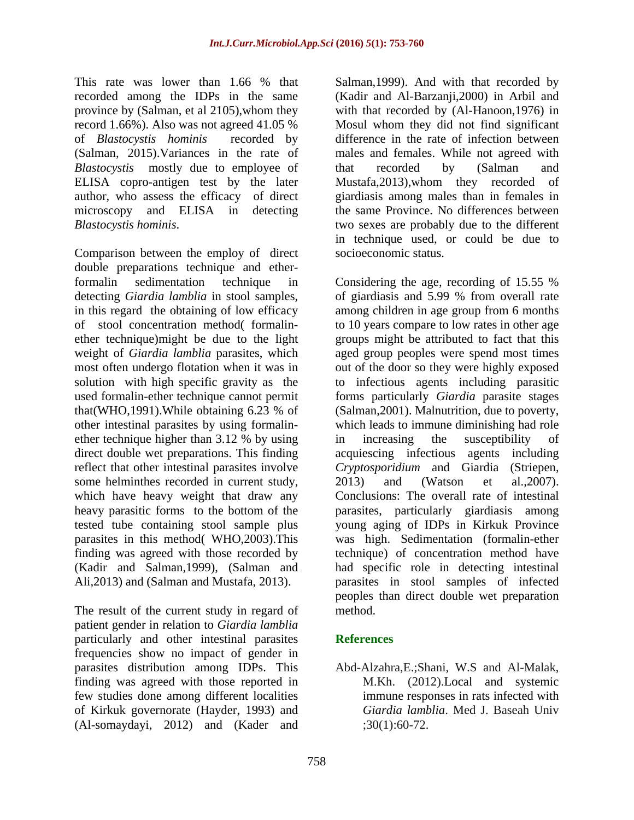This rate was lower than 1.66 % that Salman, 1999). And with that recorded by recorded among the IDPs in the same (Kadir and Al-Barzanji,2000) in Arbiland province by (Salman, et al 2105),whom they with that recorded by (Al-Hanoon,1976) in record 1.66%). Also was not agreed 41.05 % Mosul whom they did not find significant of *Blastocystis hominis* recorded by difference in the rate of infection between (Salman, 2015).Variances in the rate of males and females. While not agreed with *Blastocystis* mostly due to employee of that recorded by (Salman and ELISA copro-antigen test by the later Mustafa, 2013), whom they recorded of author, who assess the efficacy of direct giardiasis among males than in females in microscopy and ELISA in detecting the same Province. No differences between *Blastocystis hominis*. two sexes are probably due to the different

Comparison between the employ of direct double preparations technique and etherother intestinal parasites by using formalin ether technique higher than 3.12 % by using in increasing the susceptibility of reflect that other intestinal parasites involve *Cryptosporidium* and Giardia (Striepen, tested tube containing stool sample plus parasites in this method( WHO,2003).This finding was agreed with those recorded by Ali,2013) and (Salman and Mustafa, 2013).

The result of the current study in regard of method. patient gender in relation to *Giardia lamblia* particularly and other intestinal parasites References frequencies show no impact of gender in parasites distribution among IDPs. This Abd-Alzahra,E.;Shani, W.S and Al-Malak, finding was agreed with those reported in few studies done among different localities of Kirkuk governorate (Hayder, 1993) and (Al-somaydayi, 2012) and (Kader and

Salman,1999). And with that recorded by that recorded by (Salman and Mustafa,2013),whom they recorded of in technique used, or could be due to socioeconomic status.

formalin sedimentation technique in Considering the age, recording of 15.55 % detecting *Giardia lamblia* in stool samples, of giardiasisand 5.99 % from overall rate in this regard the obtaining of low efficacy among children in age group from 6 months of stool concentration method( formalin- to 10 years compare to low rates in other age ether technique)might be due to the light groups might be attributed to fact that this weight of *Giardia lamblia* parasites, which aged group peoples were spend most times most often undergo flotation when it was in out of the door so they were highly exposed solution with high specific gravity as the to infectious agents including parasitic used formalin-ether technique cannot permit forms particularly *Giardia* parasite stages that(WHO,1991).While obtaining 6.23 % of direct double wet preparations. This finding acquiescing infectious agents including some helminthes recorded in current study,  $2013$  and (Watson et al., 2007).<br>which have heavy weight that draw any Conclusions: The overall rate of intestinal heavy parasitic forms to the bottom of the parasites, particularly giardiasis among (Kadir and Salman,1999), (Salman and had specific role in detecting intestinal (Salman,2001). Malnutrition, due to poverty, which leads to immune diminishing had role in increasing the susceptibility of *Cryptosporidium* and Giardia (Striepen, 2013) and (Watson et al.,2007). Conclusions: The overall rate of intestinal young aging of IDPs in Kirkuk Province was high. Sedimentation (formalin-ether technique) of concentration method have parasites in stool samples of infected peoples than direct double wet preparation method.

## **References**

M.Kh. (2012).Local and systemic immune responses in rats infected with *Giardia lamblia*. Med J. Baseah Univ  $:30(1):60-72.$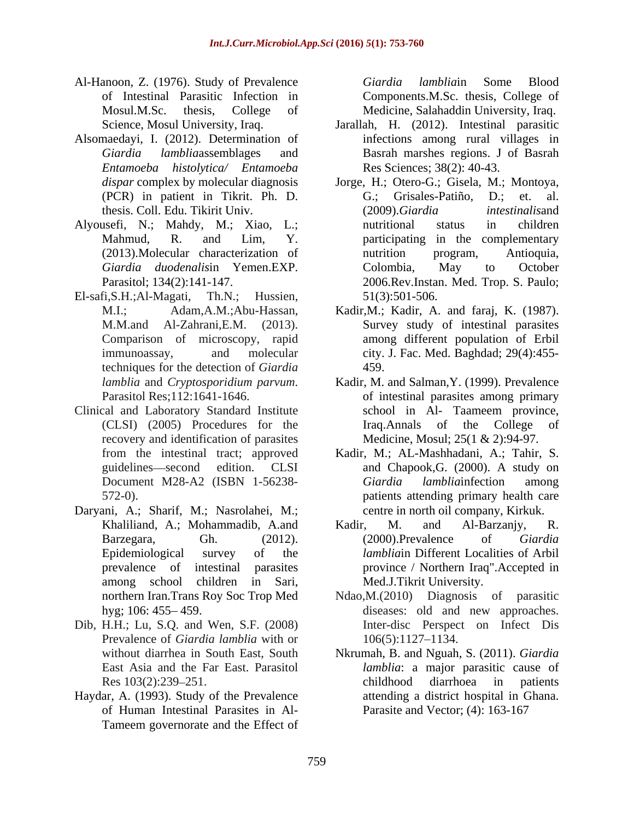- Al-Hanoon, Z. (1976). Study of Prevalence of Intestinal Parasitic Infection in Components.M.Sc. thesis, College of Mosul.M.Sc. thesis, College of Medicine, Salahaddin University, Iraq.
- Alsomaedayi, I. (2012). Determination of *Entamoeba histolytica/ Entamoeba*
- Alyousefi, N.; Mahdy, M.; Xiao, L.;
- El-safi,S.H.;Al-Magati, Th.N.; Hussien, 51(3):501-506.<br>M.I.; Adam,A.M.;Abu-Hassan, Kadir,M.; Kadir, A. and faraj, K. (1987). techniques for the detection of *Giardia*
- Clinical and Laboratory Standard Institute school in Al- Taameem province, recovery and identification of parasites
- Daryani, A.; Sharif, M.; Nasrolahei, M.;
- Dib, H.H.; Lu, S.Q. and Wen, S.F. (2008) Prevalence of *Giardia lamblia* with or  $106(5):1127-1134$ .
- Haydar, A. (1993). Study of the Prevalence of Human Intestinal Parasites in Al- Tameem governorate and the Effect of

*Giardia lamblia*in Some Blood

- Science, Mosul University, Iraq. Jarallah, H. (2012). Intestinal parasitic *Giardia lamblia*assemblages and Basrah marshes regions. J of Basrah infections among rural villages in Res Sciences; 38(2): 40-43.
- *dispar* complex by molecular diagnosis Jorge, H.; Otero-G.; Gisela, M.; Montoya, (PCR) in patient in Tikrit. Ph. D. thesis. Coll. Edu. Tikirit Univ. Mahmud, R. and Lim, Y. participating in the complementary (2013).Molecular characterization of *Giardia duodenalis*in Yemen.EXP. Parasitol; 134(2):141-147. 2006.Rev.Instan. Med. Trop. S. Paulo; G.; Grisales-Patiño, D.; et. al. (2009).*Giardia intestinalis*and nutritional status in children nutrition program, Antioquia, Colombia, May to October 51(3):501-506.
- M.M.and Al-Zahrani,E.M. (2013). Survey study of intestinal parasites Comparison of microscopy, rapid among different population of Erbil immunoassay, and molecular city. J. Fac. Med. Baghdad; 29(4):455- 459.
- *lamblia* and *Cryptosporidium parvum*. Kadir, M. and Salman,Y. (1999). Prevalence Parasitol Res;112:1641-1646. of intestinal parasites among primary (CLSI) (2005) Procedures for the school in Al- Taameem province, Iraq.Annals of the College Medicine, Mosul; 25(1 & 2):94-97.
- from the intestinal tract; approved Kadir, M.; AL-Mashhadani, A.; Tahir, S. guidelines—second edition. CLSI and Chapook, G. (2000). A study on Document M28-A2 (ISBN 1-56238- 572-0). patients attending primary health care *Giardia lamblia*infection among centre in north oil company, Kirkuk.
- Khaliliand, A.; Mohammadib, A.and Kadir, M. and Al-Barzanjy, R. Barzegara, Gh. (2012). (2000).Prevalence of Giardia Epidemiological survey of the *lamblia*in Different Localities of Arbil prevalence of intestinal parasites province / Northern Iraq".Accepted in among school children in Sari, Kadir, M. and Al-Barzanjy, R. (2000).Prevalence of *Giardia*  Med.J.Tikrit University.
- northern Iran.Trans Roy Soc Trop Med Ndao,M.(2010) Diagnosis of parasitic hyg; 106: 455–459. diseases: old and new approaches. diseases: old and new approaches. Inter-disc Perspect on Infect Dis 106(5):1127 1134.
- without diarrhea in South East, South Nkrumah, B. and Nguah, S. (2011). *Giardia*  East Asia and the Far East. Parasitol *lamblia*: a major parasitic cause of Res 103(2):239–251. Childhood diarrhoea in patients childhood diarrhoea in patients attending a district hospital in Ghana. Parasite and Vector; (4): 163-167